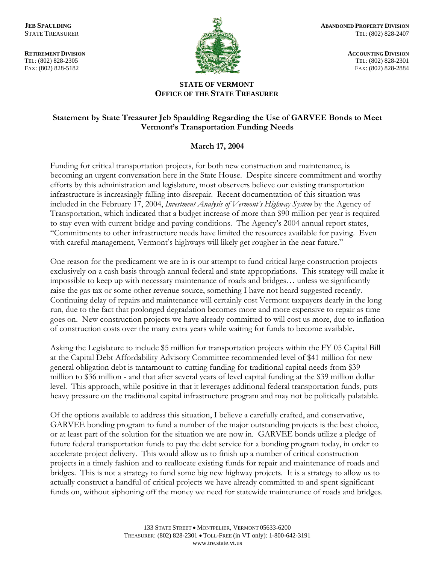TEL: (802) 828-2305 TEL: (802) 828-2305



**RETIREMENT DIVISION** ACCOUNTING DIVISION FAX: (802) 828-5182 FAX: (802) 828-2884

## **STATE OF VERMONT OFFICE OF THE STATE TREASURER**

## **Statement by State Treasurer Jeb Spaulding Regarding the Use of GARVEE Bonds to Meet Vermont's Transportation Funding Needs**

## **March 17, 2004**

Funding for critical transportation projects, for both new construction and maintenance, is becoming an urgent conversation here in the State House. Despite sincere commitment and worthy efforts by this administration and legislature, most observers believe our existing transportation infrastructure is increasingly falling into disrepair. Recent documentation of this situation was included in the February 17, 2004, *Investment Analysis of Vermont's Highway System* by the Agency of Transportation, which indicated that a budget increase of more than \$90 million per year is required to stay even with current bridge and paving conditions. The Agency's 2004 annual report states, "Commitments to other infrastructure needs have limited the resources available for paving. Even with careful management, Vermont's highways will likely get rougher in the near future."

One reason for the predicament we are in is our attempt to fund critical large construction projects exclusively on a cash basis through annual federal and state appropriations. This strategy will make it impossible to keep up with necessary maintenance of roads and bridges… unless we significantly raise the gas tax or some other revenue source, something I have not heard suggested recently. Continuing delay of repairs and maintenance will certainly cost Vermont taxpayers dearly in the long run, due to the fact that prolonged degradation becomes more and more expensive to repair as time goes on. New construction projects we have already committed to will cost us more, due to inflation of construction costs over the many extra years while waiting for funds to become available.

Asking the Legislature to include \$5 million for transportation projects within the FY 05 Capital Bill at the Capital Debt Affordability Advisory Committee recommended level of \$41 million for new general obligation debt is tantamount to cutting funding for traditional capital needs from \$39 million to \$36 million - and that after several years of level capital funding at the \$39 million dollar level. This approach, while positive in that it leverages additional federal transportation funds, puts heavy pressure on the traditional capital infrastructure program and may not be politically palatable.

Of the options available to address this situation, I believe a carefully crafted, and conservative, GARVEE bonding program to fund a number of the major outstanding projects is the best choice, or at least part of the solution for the situation we are now in. GARVEE bonds utilize a pledge of future federal transportation funds to pay the debt service for a bonding program today, in order to accelerate project delivery. This would allow us to finish up a number of critical construction projects in a timely fashion and to reallocate existing funds for repair and maintenance of roads and bridges. This is not a strategy to fund some big new highway projects. It is a strategy to allow us to actually construct a handful of critical projects we have already committed to and spent significant funds on, without siphoning off the money we need for statewide maintenance of roads and bridges.